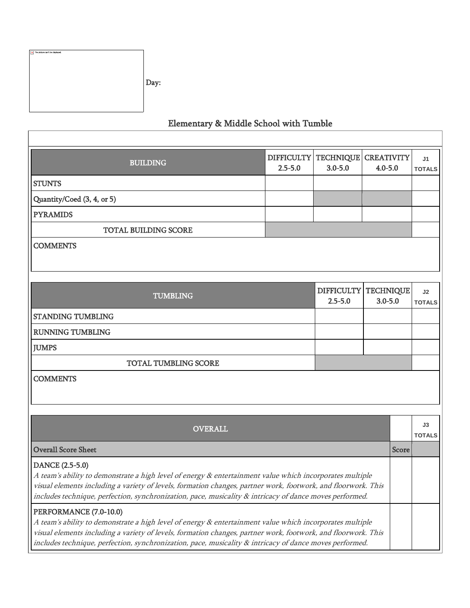| $\boxed{\mathbf{x}}$ The picture can't be displayed. | Day: |
|------------------------------------------------------|------|
|------------------------------------------------------|------|

## Elementary & Middle School with Tumble

| <b>BUILDING</b>                                                                                                                                                                                                                                                                                                                                                | <b>DIFFICULTY</b><br>$2.5 - 5.0$ | <b>TECHNIQUE</b><br>$3.0 - 5.0$  | <b>CREATIVITY</b><br>$4.0 - 5.0$ |       | J <sub>1</sub><br><b>TOTALS</b> |
|----------------------------------------------------------------------------------------------------------------------------------------------------------------------------------------------------------------------------------------------------------------------------------------------------------------------------------------------------------------|----------------------------------|----------------------------------|----------------------------------|-------|---------------------------------|
| <b>STUNTS</b>                                                                                                                                                                                                                                                                                                                                                  |                                  |                                  |                                  |       |                                 |
| Quantity/Coed (3, 4, or 5)                                                                                                                                                                                                                                                                                                                                     |                                  |                                  |                                  |       |                                 |
| <b>PYRAMIDS</b>                                                                                                                                                                                                                                                                                                                                                |                                  |                                  |                                  |       |                                 |
| <b>TOTAL BUILDING SCORE</b>                                                                                                                                                                                                                                                                                                                                    |                                  |                                  |                                  |       |                                 |
| <b>COMMENTS</b>                                                                                                                                                                                                                                                                                                                                                |                                  |                                  |                                  |       |                                 |
| <b>TUMBLING</b>                                                                                                                                                                                                                                                                                                                                                |                                  | <b>DIFFICULTY</b><br>$2.5 - 5.0$ | <b>TECHNIQUE</b><br>$3.0 - 5.0$  |       | J2<br><b>TOTALS</b>             |
| <b>STANDING TUMBLING</b>                                                                                                                                                                                                                                                                                                                                       |                                  |                                  |                                  |       |                                 |
| <b>RUNNING TUMBLING</b>                                                                                                                                                                                                                                                                                                                                        |                                  |                                  |                                  |       |                                 |
| <b>JUMPS</b>                                                                                                                                                                                                                                                                                                                                                   |                                  |                                  |                                  |       |                                 |
| <b>TOTAL TUMBLING SCORE</b>                                                                                                                                                                                                                                                                                                                                    |                                  |                                  |                                  |       |                                 |
| <b>COMMENTS</b>                                                                                                                                                                                                                                                                                                                                                |                                  |                                  |                                  |       |                                 |
|                                                                                                                                                                                                                                                                                                                                                                |                                  |                                  |                                  |       |                                 |
| <b>OVERALL</b>                                                                                                                                                                                                                                                                                                                                                 |                                  |                                  |                                  |       | J3<br><b>TOTALS</b>             |
| <b>Overall Score Sheet</b>                                                                                                                                                                                                                                                                                                                                     |                                  |                                  |                                  | Score |                                 |
| DANCE (2.5-5.0)<br>A team's ability to demonstrate a high level of energy & entertainment value which incorporates multiple<br>visual elements including a variety of levels, formation changes, partner work, footwork, and floorwork. This<br>includes technique, perfection, synchronization, pace, musicality & intricacy of dance moves performed.        |                                  |                                  |                                  |       |                                 |
| PERFORMANCE (7.0-10.0)<br>A team's ability to demonstrate a high level of energy & entertainment value which incorporates multiple<br>visual elements including a variety of levels, formation changes, partner work, footwork, and floorwork. This<br>includes technique, perfection, synchronization, pace, musicality & intricacy of dance moves performed. |                                  |                                  |                                  |       |                                 |